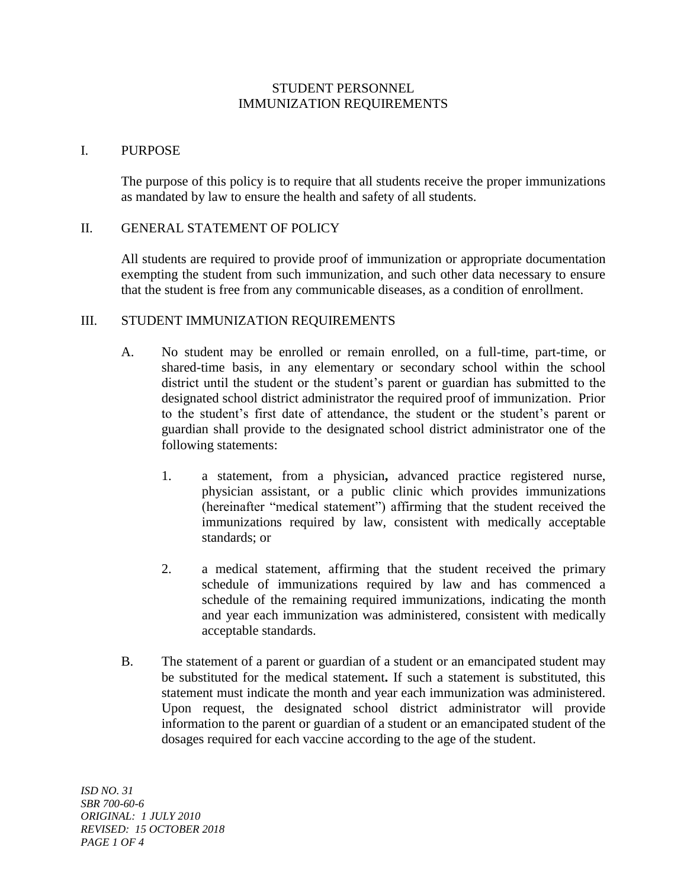# STUDENT PERSONNEL IMMUNIZATION REQUIREMENTS

## I. PURPOSE

The purpose of this policy is to require that all students receive the proper immunizations as mandated by law to ensure the health and safety of all students.

### II. GENERAL STATEMENT OF POLICY

All students are required to provide proof of immunization or appropriate documentation exempting the student from such immunization, and such other data necessary to ensure that the student is free from any communicable diseases, as a condition of enrollment.

### III. STUDENT IMMUNIZATION REQUIREMENTS

- A. No student may be enrolled or remain enrolled, on a full-time, part-time, or shared-time basis, in any elementary or secondary school within the school district until the student or the student's parent or guardian has submitted to the designated school district administrator the required proof of immunization. Prior to the student's first date of attendance, the student or the student's parent or guardian shall provide to the designated school district administrator one of the following statements:
	- 1. a statement, from a physician**,** advanced practice registered nurse, physician assistant, or a public clinic which provides immunizations (hereinafter "medical statement") affirming that the student received the immunizations required by law, consistent with medically acceptable standards; or
	- 2. a medical statement, affirming that the student received the primary schedule of immunizations required by law and has commenced a schedule of the remaining required immunizations, indicating the month and year each immunization was administered, consistent with medically acceptable standards.
- B. The statement of a parent or guardian of a student or an emancipated student may be substituted for the medical statement**.** If such a statement is substituted, this statement must indicate the month and year each immunization was administered. Upon request, the designated school district administrator will provide information to the parent or guardian of a student or an emancipated student of the dosages required for each vaccine according to the age of the student.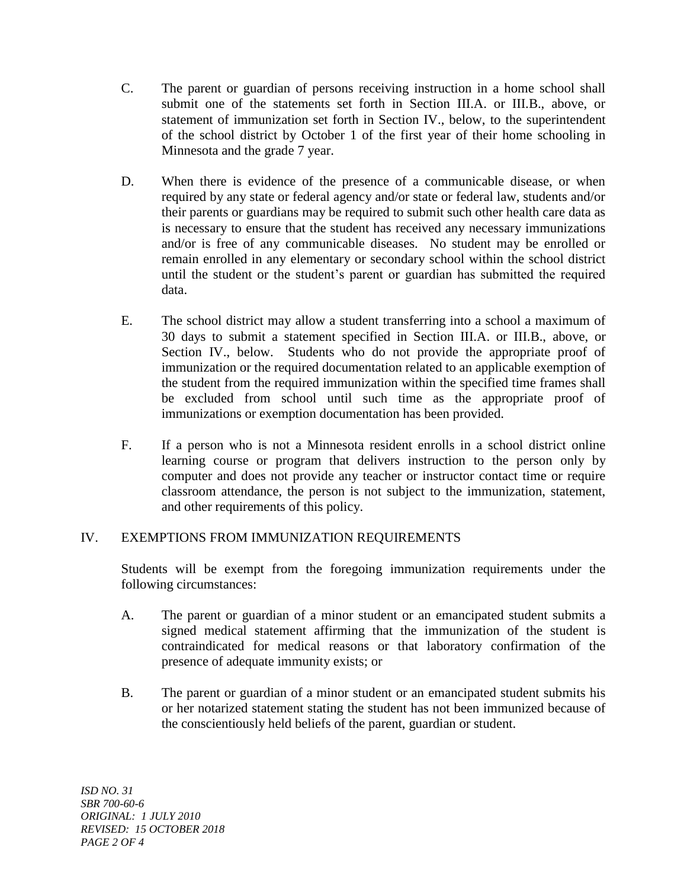- C. The parent or guardian of persons receiving instruction in a home school shall submit one of the statements set forth in Section III.A. or III.B., above, or statement of immunization set forth in Section IV., below, to the superintendent of the school district by October 1 of the first year of their home schooling in Minnesota and the grade 7 year.
- D. When there is evidence of the presence of a communicable disease, or when required by any state or federal agency and/or state or federal law, students and/or their parents or guardians may be required to submit such other health care data as is necessary to ensure that the student has received any necessary immunizations and/or is free of any communicable diseases. No student may be enrolled or remain enrolled in any elementary or secondary school within the school district until the student or the student's parent or guardian has submitted the required data.
- E. The school district may allow a student transferring into a school a maximum of 30 days to submit a statement specified in Section III.A. or III.B., above, or Section IV., below. Students who do not provide the appropriate proof of immunization or the required documentation related to an applicable exemption of the student from the required immunization within the specified time frames shall be excluded from school until such time as the appropriate proof of immunizations or exemption documentation has been provided.
- F. If a person who is not a Minnesota resident enrolls in a school district online learning course or program that delivers instruction to the person only by computer and does not provide any teacher or instructor contact time or require classroom attendance, the person is not subject to the immunization, statement, and other requirements of this policy.

# IV. EXEMPTIONS FROM IMMUNIZATION REQUIREMENTS

Students will be exempt from the foregoing immunization requirements under the following circumstances:

- A. The parent or guardian of a minor student or an emancipated student submits a signed medical statement affirming that the immunization of the student is contraindicated for medical reasons or that laboratory confirmation of the presence of adequate immunity exists; or
- B. The parent or guardian of a minor student or an emancipated student submits his or her notarized statement stating the student has not been immunized because of the conscientiously held beliefs of the parent, guardian or student.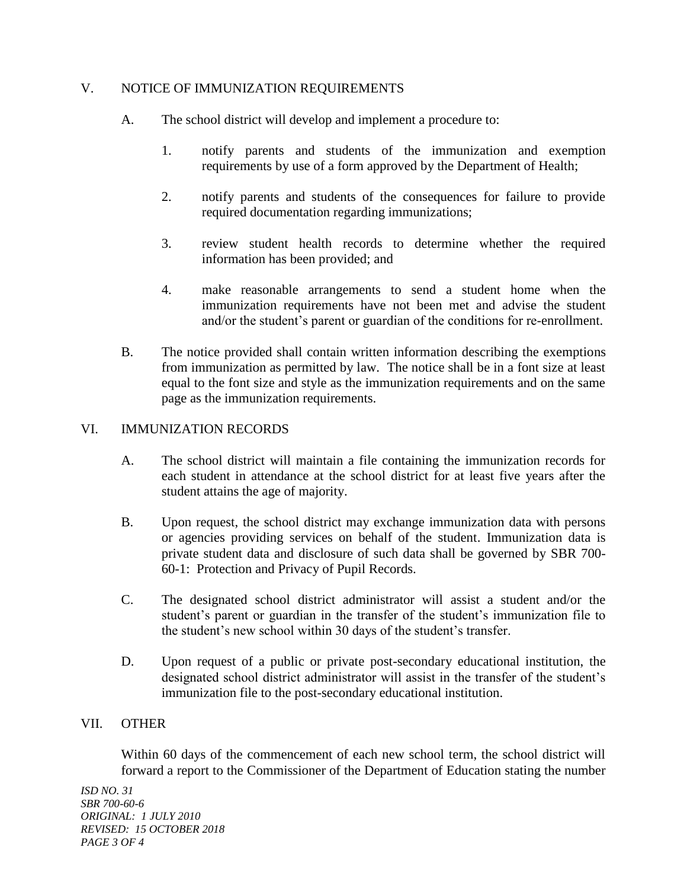## V. NOTICE OF IMMUNIZATION REQUIREMENTS

- A. The school district will develop and implement a procedure to:
	- 1. notify parents and students of the immunization and exemption requirements by use of a form approved by the Department of Health;
	- 2. notify parents and students of the consequences for failure to provide required documentation regarding immunizations;
	- 3. review student health records to determine whether the required information has been provided; and
	- 4. make reasonable arrangements to send a student home when the immunization requirements have not been met and advise the student and/or the student's parent or guardian of the conditions for re-enrollment.
- B. The notice provided shall contain written information describing the exemptions from immunization as permitted by law. The notice shall be in a font size at least equal to the font size and style as the immunization requirements and on the same page as the immunization requirements.

## VI. IMMUNIZATION RECORDS

- A. The school district will maintain a file containing the immunization records for each student in attendance at the school district for at least five years after the student attains the age of majority.
- B. Upon request, the school district may exchange immunization data with persons or agencies providing services on behalf of the student. Immunization data is private student data and disclosure of such data shall be governed by SBR 700- 60-1: Protection and Privacy of Pupil Records.
- C. The designated school district administrator will assist a student and/or the student's parent or guardian in the transfer of the student's immunization file to the student's new school within 30 days of the student's transfer.
- D. Upon request of a public or private post-secondary educational institution, the designated school district administrator will assist in the transfer of the student's immunization file to the post-secondary educational institution.

## VII. OTHER

Within 60 days of the commencement of each new school term, the school district will forward a report to the Commissioner of the Department of Education stating the number

*ISD NO. 31 SBR 700-60-6 ORIGINAL: 1 JULY 2010 REVISED: 15 OCTOBER 2018 PAGE 3 OF 4*